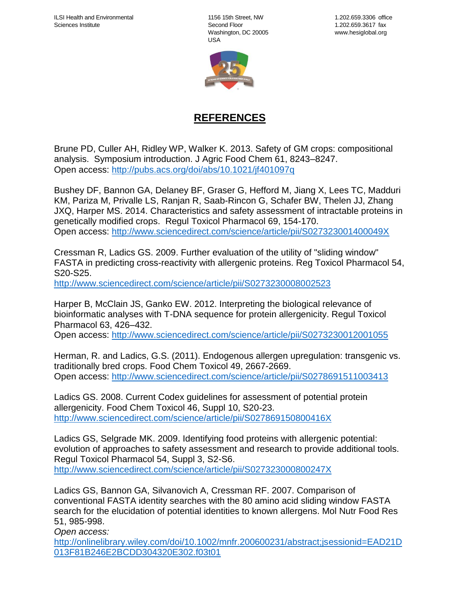1156 15th Street, NW Second Floor Washington, DC 20005 USA



## **REFERENCES**

Brune PD, Culler AH, Ridley WP, Walker K. 2013. Safety of GM crops: compositional analysis. Symposium introduction. J Agric Food Chem 61, 8243–8247. Open access:<http://pubs.acs.org/doi/abs/10.1021/jf401097q>

Bushey DF, Bannon GA, Delaney BF, Graser G, Hefford M, Jiang X, Lees TC, Madduri KM, Pariza M, Privalle LS, Ranjan R, Saab-Rincon G, Schafer BW, Thelen JJ, Zhang JXQ, Harper MS. 2014. Characteristics and safety assessment of intractable proteins in genetically modified crops. Regul Toxicol Pharmacol 69, 154-170. Open access:<http://www.sciencedirect.com/science/article/pii/S027323001400049X>

Cressman R, Ladics GS. 2009. Further evaluation of the utility of "sliding window" FASTA in predicting cross-reactivity with allergenic proteins. Reg Toxicol Pharmacol 54, S20-S25.

<http://www.sciencedirect.com/science/article/pii/S0273230008002523>

Harper B, McClain JS, Ganko EW. 2012. Interpreting the biological relevance of bioinformatic analyses with T-DNA sequence for protein allergenicity. Regul Toxicol Pharmacol 63, 426–432.

Open access:<http://www.sciencedirect.com/science/article/pii/S0273230012001055>

Herman, R. and Ladics, G.S. (2011). Endogenous allergen upregulation: transgenic vs. traditionally bred crops. Food Chem Toxicol 49, 2667-2669. Open access:<http://www.sciencedirect.com/science/article/pii/S0278691511003413>

Ladics GS. 2008. Current Codex guidelines for assessment of potential protein allergenicity. Food Chem Toxicol 46, Suppl 10, S20-23. <http://www.sciencedirect.com/science/article/pii/S027869150800416X>

Ladics GS, Selgrade MK. 2009. Identifying food proteins with allergenic potential: evolution of approaches to safety assessment and research to provide additional tools. Regul Toxicol Pharmacol 54, Suppl 3, S2-S6. <http://www.sciencedirect.com/science/article/pii/S027323000800247X>

Ladics GS, Bannon GA, Silvanovich A, Cressman RF. 2007. Comparison of conventional FASTA identity searches with the 80 amino acid sliding window FASTA search for the elucidation of potential identities to known allergens. Mol Nutr Food Res 51, 985-998.

*Open access:* 

[http://onlinelibrary.wiley.com/doi/10.1002/mnfr.200600231/abstract;jsessionid=EAD21D](http://onlinelibrary.wiley.com/doi/10.1002/mnfr.200600231/abstract;jsessionid=EAD21D013F81B246E2BCDD304320E302.f03t01) [013F81B246E2BCDD304320E302.f03t01](http://onlinelibrary.wiley.com/doi/10.1002/mnfr.200600231/abstract;jsessionid=EAD21D013F81B246E2BCDD304320E302.f03t01)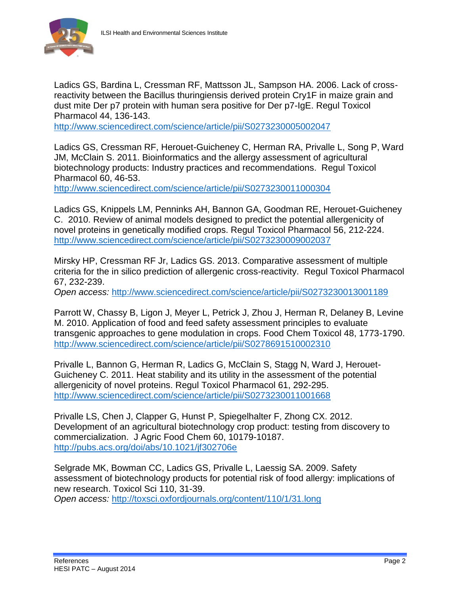

Ladics GS, Bardina L, Cressman RF, Mattsson JL, Sampson HA. 2006. Lack of crossreactivity between the Bacillus thuringiensis derived protein Cry1F in maize grain and dust mite Der p7 protein with human sera positive for Der p7-IgE. Regul Toxicol Pharmacol 44, 136-143.

<http://www.sciencedirect.com/science/article/pii/S0273230005002047>

Ladics GS, Cressman RF, Herouet-Guicheney C, Herman RA, Privalle L, Song P, Ward JM, McClain S. 2011. Bioinformatics and the allergy assessment of agricultural biotechnology products: Industry practices and recommendations. Regul Toxicol Pharmacol 60, 46-53.

<http://www.sciencedirect.com/science/article/pii/S0273230011000304>

Ladics GS, Knippels LM, Penninks AH, Bannon GA, Goodman RE, Herouet-Guicheney C. 2010. Review of animal models designed to predict the potential allergenicity of novel proteins in genetically modified crops. Regul Toxicol Pharmacol 56, 212-224. <http://www.sciencedirect.com/science/article/pii/S0273230009002037>

Mirsky HP, Cressman RF Jr, Ladics GS. 2013. Comparative assessment of multiple criteria for the in silico prediction of allergenic cross-reactivity. Regul Toxicol Pharmacol 67, 232-239.

*Open access:* <http://www.sciencedirect.com/science/article/pii/S0273230013001189>

Parrott W, Chassy B, Ligon J, Meyer L, Petrick J, Zhou J, Herman R, Delaney B, Levine M. 2010. Application of food and feed safety assessment principles to evaluate transgenic approaches to gene modulation in crops. Food Chem Toxicol 48, 1773-1790. <http://www.sciencedirect.com/science/article/pii/S0278691510002310>

Privalle L, Bannon G, Herman R, Ladics G, McClain S, Stagg N, Ward J, Herouet-Guicheney C. 2011. Heat stability and its utility in the assessment of the potential allergenicity of novel proteins. Regul Toxicol Pharmacol 61, 292-295. <http://www.sciencedirect.com/science/article/pii/S0273230011001668>

Privalle LS, Chen J, Clapper G, Hunst P, Spiegelhalter F, Zhong CX. 2012. Development of an agricultural biotechnology crop product: testing from discovery to commercialization. J Agric Food Chem 60, 10179-10187. <http://pubs.acs.org/doi/abs/10.1021/jf302706e>

Selgrade MK, Bowman CC, Ladics GS, Privalle L, Laessig SA. 2009. Safety assessment of biotechnology products for potential risk of food allergy: implications of new research. Toxicol Sci 110, 31-39.

*Open access:* <http://toxsci.oxfordjournals.org/content/110/1/31.long>